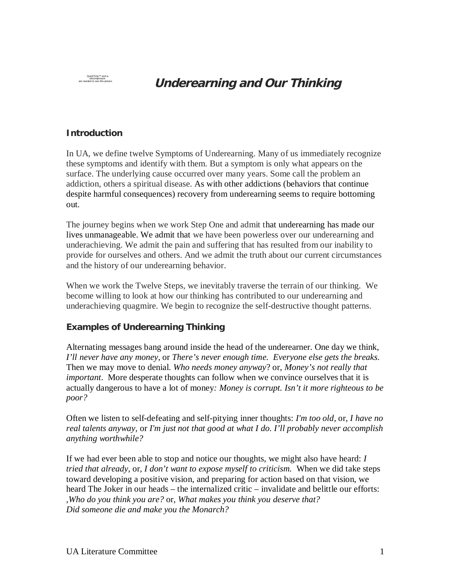QuickTime™ and a decompressor

**Underearning and Our Thinking** 

## **Introduction**

In UA, we define twelve Symptoms of Underearning. Many of us immediately recognize these symptoms and identify with them. But a symptom is only what appears on the surface. The underlying cause occurred over many years. Some call the problem an addiction, others a spiritual disease. As with other addictions (behaviors that continue despite harmful consequences) recovery from underearning seems to require bottoming out.

The journey begins when we work Step One and admit that underearning has made our lives unmanageable. We admit that we have been powerless over our underearning and underachieving. We admit the pain and suffering that has resulted from our inability to provide for ourselves and others. And we admit the truth about our current circumstances and the history of our underearning behavior.

When we work the Twelve Steps, we inevitably traverse the terrain of our thinking. We become willing to look at how our thinking has contributed to our underearning and underachieving quagmire. We begin to recognize the self-destructive thought patterns.

**Examples of Underearning Thinking**

Alternating messages bang around inside the head of the underearner. One day we think, *I'll never have any money*, or *There's never enough time. Everyone else gets the breaks*. Then we may move to denial. *Who needs money anyway*? or, *Money's not really that important*. More desperate thoughts can follow when we convince ourselves that it is actually dangerous to have a lot of money*: Money is corrupt. Isn't it more righteous to be poor?*

Often we listen to self-defeating and self-pitying inner thoughts: *I'm too old,* or*, I have no real talents anyway,* or *I'm just not that good at what I do. I'll probably never accomplish anything worthwhile?*

If we had ever been able to stop and notice our thoughts, we might also have heard: *I tried that already,* or*, I don't want to expose myself to criticism.* When we did take steps toward developing a positive vision, and preparing for action based on that vision, we heard The Joker in our heads – the internalized critic – invalidate and belittle our efforts: ,*Who do you think you are?* or, *What makes you think you deserve that? Did someone die and make you the Monarch?*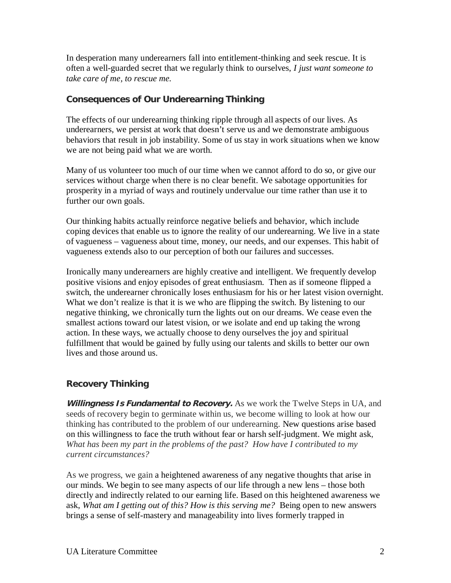In desperation many underearners fall into entitlement-thinking and seek rescue. It is often a well-guarded secret that we regularly think to ourselves, *I just want someone to take care of me, to rescue me.*

## **Consequences of Our Underearning Thinking**

The effects of our underearning thinking ripple through all aspects of our lives. As underearners, we persist at work that doesn't serve us and we demonstrate ambiguous behaviors that result in job instability. Some of us stay in work situations when we know we are not being paid what we are worth.

Many of us volunteer too much of our time when we cannot afford to do so, or give our services without charge when there is no clear benefit. We sabotage opportunities for prosperity in a myriad of ways and routinely undervalue our time rather than use it to further our own goals.

Our thinking habits actually reinforce negative beliefs and behavior, which include coping devices that enable us to ignore the reality of our underearning. We live in a state of vagueness – vagueness about time, money, our needs, and our expenses. This habit of vagueness extends also to our perception of both our failures and successes.

Ironically many underearners are highly creative and intelligent. We frequently develop positive visions and enjoy episodes of great enthusiasm. Then as if someone flipped a switch, the underearner chronically loses enthusiasm for his or her latest vision overnight. What we don't realize is that it is we who are flipping the switch. By listening to our negative thinking, we chronically turn the lights out on our dreams. We cease even the smallest actions toward our latest vision, or we isolate and end up taking the wrong action. In these ways, we actually choose to deny ourselves the joy and spiritual fulfillment that would be gained by fully using our talents and skills to better our own lives and those around us.

## **Recovery Thinking**

**Willingness Is Fundamental to Recovery.** As we work the Twelve Steps in UA, and seeds of recovery begin to germinate within us, we become willing to look at how our thinking has contributed to the problem of our underearning. New questions arise based on this willingness to face the truth without fear or harsh self-judgment. We might ask, *What has been my part in the problems of the past? How have I contributed to my current circumstances?*

As we progress, we gain a heightened awareness of any negative thoughts that arise in our minds. We begin to see many aspects of our life through a new lens – those both directly and indirectly related to our earning life. Based on this heightened awareness we ask, *What am I getting out of this? How is this serving me?* Being open to new answers brings a sense of self-mastery and manageability into lives formerly trapped in